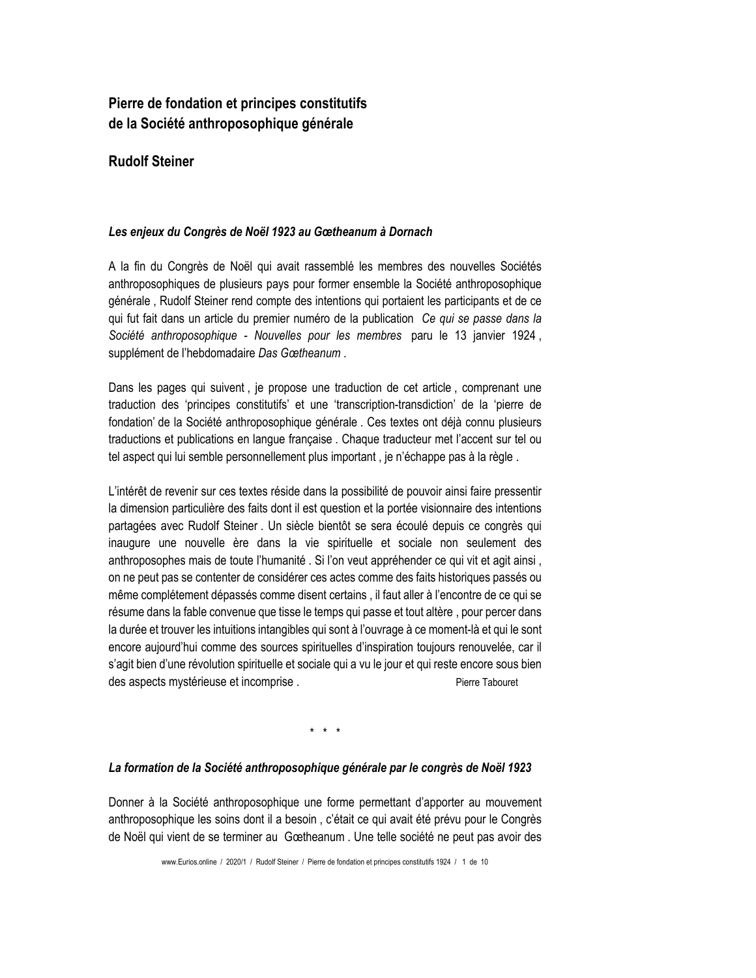# Pierre de fondation et principes constitutifs de la Société anthroposophique générale

# **Rudolf Steiner**

### Les enjeux du Congrès de Noël 1923 au Gœtheanum à Dornach

A la fin du Congrès de Noël qui avait rassemblé les membres des nouvelles Sociétés anthroposophiques de plusieurs pays pour former ensemble la Société anthroposophique générale, Rudolf Steiner rend compte des intentions qui portaient les participants et de ce qui fut fait dans un article du premier numéro de la publication Ce qui se passe dans la Société anthroposophique - Nouvelles pour les membres paru le 13 janvier 1924, supplément de l'hebdomadaire Das Gœtheanum.

Dans les pages qui suivent, je propose une traduction de cet article, comprenant une traduction des 'principes constitutifs' et une 'transcription-transdiction' de la 'pierre de fondation' de la Société anthroposophique générale . Ces textes ont déjà connu plusieurs traductions et publications en langue francaise. Chaque traducteur met l'accent sur tel ou tel aspect qui lui semble personnellement plus important, ie n'échappe pas à la règle.

L'intérêt de revenir sur ces textes réside dans la possibilité de pouvoir ainsi faire pressentir la dimension particulière des faits dont il est question et la portée visionnaire des intentions partagées avec Rudolf Steiner. Un siècle bientôt se sera écoulé depuis ce congrès qui inaugure une nouvelle ère dans la vie spirituelle et sociale non seulement des anthroposophes mais de toute l'humanité. Si l'on veut appréhender ce qui vit et agit ainsi, on ne peut pas se contenter de considérer ces actes comme des faits historiques passés ou même complétement dépassés comme disent certains, il faut aller à l'encontre de ce qui se résume dans la fable convenue que tisse le temps qui passe et tout altère, pour percer dans la durée et trouver les intuitions intangibles qui sont à l'ouvrage à ce moment-là et qui le sont encore aujourd'hui comme des sources spirituelles d'inspiration toujours renouvelée, car il s'agit bien d'une révolution spirituelle et sociale qui a vu le jour et qui reste encore sous bien des aspects mystérieuse et incomprise. Pierre Tabouret

 $\star$   $\star$   $\star$ 

#### La formation de la Société anthroposophique générale par le congrès de Noël 1923

Donner à la Société anthroposophique une forme permettant d'apporter au mouvement anthroposophique les soins dont il a besoin, c'était ce qui avait été prévu pour le Congrès de Noël qui vient de se terminer au Gœtheanum. Une telle société ne peut pas avoir des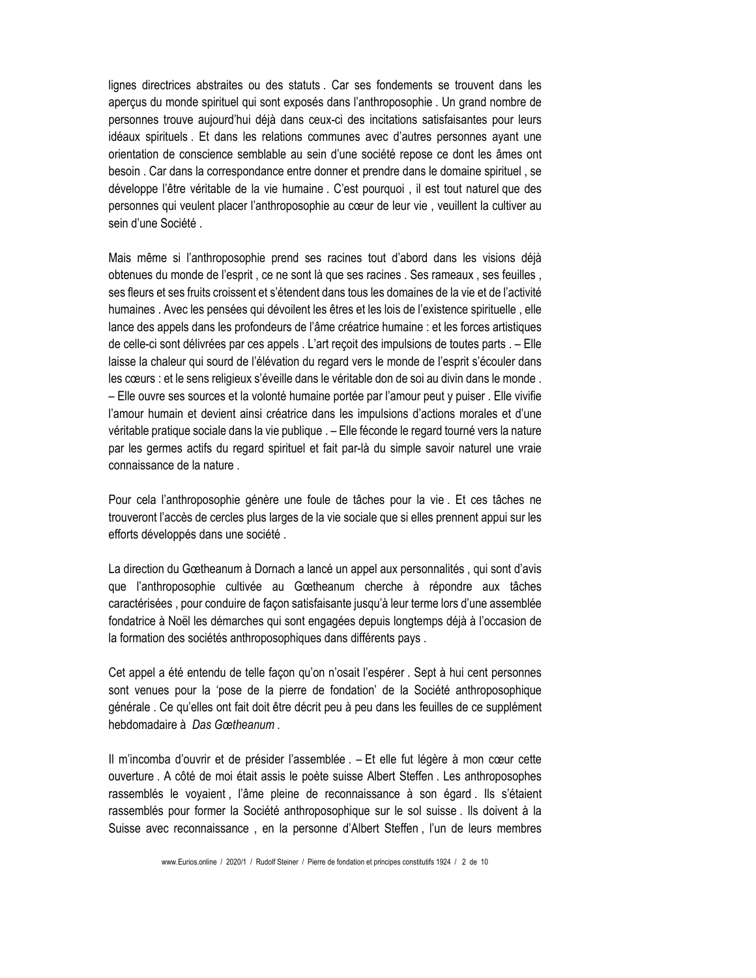lignes directrices abstraites ou des statuts. Car ses fondements se trouvent dans les aperçus du monde spirituel qui sont exposés dans l'anthroposophie . Un grand nombre de personnes trouve aujourd'hui déjà dans ceux-ci des incitations satisfaisantes pour leurs idéaux spirituels. Et dans les relations communes avec d'autres personnes ayant une orientation de conscience semblable au sein d'une société repose ce dont les âmes ont besoin. Car dans la correspondance entre donner et prendre dans le domaine spirituel, se développe l'être véritable de la vie humaine. C'est pourquoi, il est tout naturel que des personnes qui veulent placer l'anthroposophie au cœur de leur vie, veuillent la cultiver au sein d'une Société.

Mais même si l'anthroposophie prend ses racines tout d'abord dans les visions déjà obtenues du monde de l'esprit, ce ne sont là que ses racines. Ses rameaux, ses feuilles, ses fleurs et ses fruits croissent et s'étendent dans tous les domaines de la vie et de l'activité humaines. Avec les pensées qui dévoilent les êtres et les lois de l'existence spirituelle, elle lance des appels dans les profondeurs de l'âme créatrice humaine : et les forces artistiques de celle-ci sont délivrées par ces appels . L'art reçoit des impulsions de toutes parts . – Elle laisse la chaleur qui sourd de l'élévation du regard vers le monde de l'esprit s'écouler dans les cœurs : et le sens religieux s'éveille dans le véritable don de soi au divin dans le monde. - Elle ouvre ses sources et la volonté humaine portée par l'amour peut y puiser. Elle vivifie l'amour humain et devient ainsi créatrice dans les impulsions d'actions morales et d'une véritable pratique sociale dans la vie publique . - Elle féconde le regard tourné vers la nature par les germes actifs du regard spirituel et fait par-là du simple savoir naturel une vraie connaissance de la nature

Pour cela l'anthroposophie génère une foule de tâches pour la vie. Et ces tâches ne trouveront l'accès de cercles plus larges de la vie sociale que si elles prennent appui sur les efforts développés dans une société.

La direction du Gœtheanum à Dornach a lancé un appel aux personnalités, qui sont d'avis que l'anthroposophie cultivée au Gœtheanum cherche à répondre aux tâches caractérisées, pour conduire de façon satisfaisante jusqu'à leur terme lors d'une assemblée fondatrice à Noël les démarches qui sont engagées depuis longtemps déjà à l'occasion de la formation des sociétés anthroposophiques dans différents pays.

Cet appel a été entendu de telle façon qu'on n'osait l'espérer. Sept à hui cent personnes sont venues pour la 'pose de la pierre de fondation' de la Société anthroposophique générale. Ce qu'elles ont fait doit être décrit peu à peu dans les feuilles de ce supplément hebdomadaire à Das Gœtheanum

Il m'incomba d'ouvrir et de présider l'assemblée . - Et elle fut légère à mon cœur cette ouverture. A côté de moi était assis le poète suisse Albert Steffen. Les anthroposophes rassemblés le voyaient, l'âme pleine de reconnaissance à son égard. Ils s'étaient rassemblés pour former la Société anthroposophique sur le sol suisse. Ils doivent à la Suisse avec reconnaissance, en la personne d'Albert Steffen, l'un de leurs membres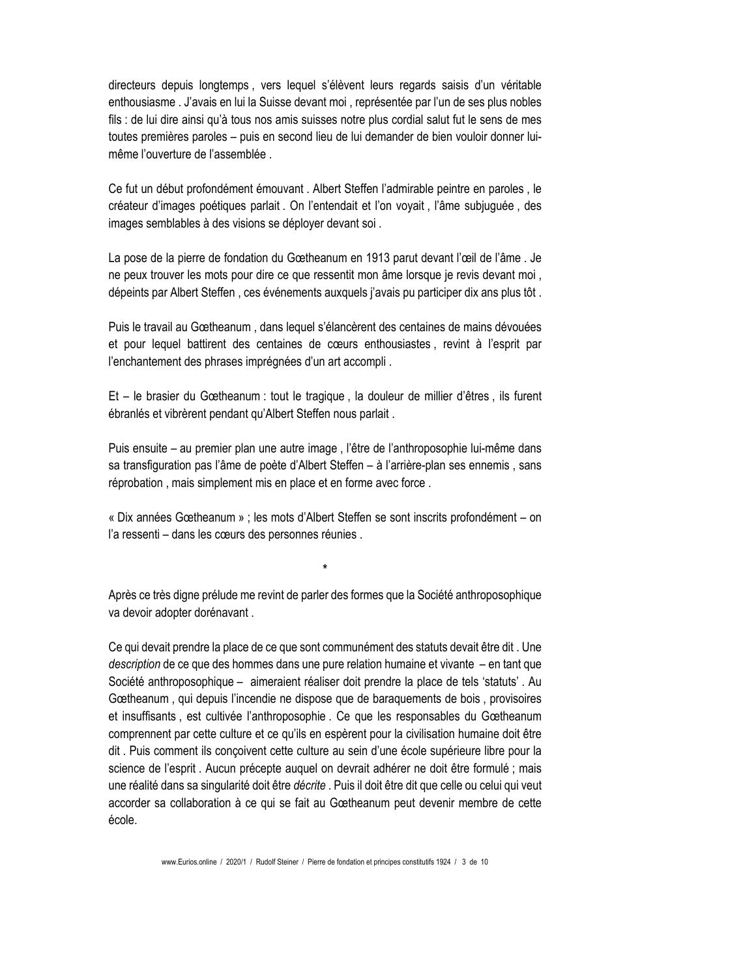directeurs depuis longtemps, vers lequel s'élèvent leurs regards saisis d'un véritable enthousiasme . J'avais en lui la Suisse devant moi, représentée par l'un de ses plus nobles fils : de lui dire ainsi qu'à tous nos amis suisses notre plus cordial salut fut le sens de mes toutes premières paroles – puis en second lieu de lui demander de bien vouloir donner luimême l'ouverture de l'assemblée

Ce fut un début profondément émouvant . Albert Steffen l'admirable peintre en paroles, le créateur d'images poétiques parlait. On l'entendait et l'on voyait, l'âme subjuguée, des images semblables à des visions se déployer devant soi.

La pose de la pierre de fondation du Gœtheanum en 1913 parut devant l'œil de l'âme. Je ne peux trouver les mots pour dire ce que ressentit mon âme lorsque je revis devant moi, dépeints par Albert Steffen, ces événements auxquels j'avais pu participer dix ans plus tôt.

Puis le travail au Gœtheanum, dans lequel s'élancèrent des centaines de mains dévouées et pour lequel battirent des centaines de cœurs enthousiastes, revint à l'esprit par l'enchantement des phrases imprégnées d'un art accompli.

Et – le brasier du Gœtheanum : tout le tragique, la douleur de millier d'êtres, ils furent ébranlés et vibrèrent pendant qu'Albert Steffen nous parlait.

Puis ensuite - au premier plan une autre image, l'être de l'anthroposophie lui-même dans sa transfiguration pas l'âme de poète d'Albert Steffen – à l'arrière-plan ses ennemis, sans réprobation, mais simplement mis en place et en forme avec force.

« Dix années Gœtheanum » ; les mots d'Albert Steffen se sont inscrits profondément – on l'a ressenti - dans les cœurs des personnes réunies.

Après ce très digne prélude me revint de parler des formes que la Société anthroposophique va devoir adopter dorénavant.

Ce qui devait prendre la place de ce que sont communément des statuts devait être dit. Une description de ce que des hommes dans une pure relation humaine et vivante – en tant que Société anthroposophique – aimeraient réaliser doit prendre la place de tels 'statuts'. Au Gœtheanum, qui depuis l'incendie ne dispose que de baraquements de bois, provisoires et insuffisants, est cultivée l'anthroposophie. Ce que les responsables du Gœtheanum comprennent par cette culture et ce qu'ils en espèrent pour la civilisation humaine doit être dit. Puis comment ils conçoivent cette culture au sein d'une école supérieure libre pour la science de l'esprit. Aucun précepte auquel on devrait adhérer ne doit être formulé ; mais une réalité dans sa singularité doit être décrite . Puis il doit être dit que celle ou celui qui veut accorder sa collaboration à ce qui se fait au Gœtheanum peut devenir membre de cette école.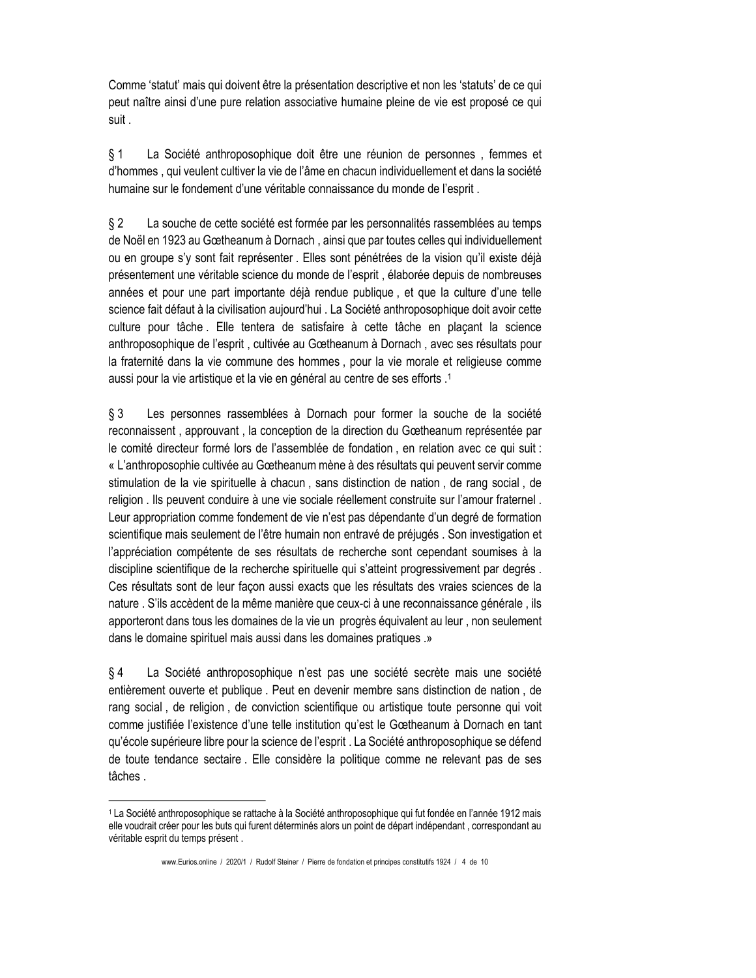Comme 'statut' mais qui doivent être la présentation descriptive et non les 'statuts' de ce qui peut naître ainsi d'une pure relation associative humaine pleine de vie est proposé ce qui suit.

La Société anthroposophique doit être une réunion de personnes, femmes et § 1 d'hommes, qui veulent cultiver la vie de l'âme en chacun individuellement et dans la société humaine sur le fondement d'une véritable connaissance du monde de l'esprit.

La souche de cette société est formée par les personnalités rassemblées au temps  $§$  2 de Noël en 1923 au Gœtheanum à Dornach, ainsi que par toutes celles qui individuellement ou en groupe s'y sont fait représenter. Elles sont pénétrées de la vision qu'il existe déjà présentement une véritable science du monde de l'esprit, élaborée depuis de nombreuses années et pour une part importante déjà rendue publique, et que la culture d'une telle science fait défaut à la civilisation aujourd'hui. La Société anthroposophique doit avoir cette culture pour tâche. Elle tentera de satisfaire à cette tâche en plaçant la science anthroposophique de l'esprit, cultivée au Gœtheanum à Dornach, avec ses résultats pour la fraternité dans la vie commune des hommes, pour la vie morale et religieuse comme aussi pour la vie artistique et la vie en général au centre de ses efforts .<sup>1</sup>

 $§$ 3 Les personnes rassemblées à Dornach pour former la souche de la société reconnaissent, approuvant, la conception de la direction du Gœtheanum représentée par le comité directeur formé lors de l'assemblée de fondation, en relation avec ce qui suit : « L'anthroposophie cultivée au Gœtheanum mène à des résultats qui peuvent servir comme stimulation de la vie spirituelle à chacun, sans distinction de nation, de rang social, de religion. Ils peuvent conduire à une vie sociale réellement construite sur l'amour fraternel. Leur appropriation comme fondement de vie n'est pas dépendante d'un degré de formation scientifique mais seulement de l'être humain non entravé de préjugés. Son investigation et l'appréciation compétente de ses résultats de recherche sont cependant soumises à la discipline scientifique de la recherche spirituelle qui s'atteint progressivement par degrés. Ces résultats sont de leur façon aussi exacts que les résultats des vraies sciences de la nature. S'ils accèdent de la même manière que ceux-ci à une reconnaissance générale, ils apporteront dans tous les domaines de la vie un progrès équivalent au leur, non seulement dans le domaine spirituel mais aussi dans les domaines pratiques .»

 $§$ 4 La Société anthroposophique n'est pas une société secrète mais une société entièrement ouverte et publique. Peut en devenir membre sans distinction de nation, de rang social, de religion, de conviction scientifique ou artistique toute personne qui voit comme justifiée l'existence d'une telle institution qu'est le Gœtheanum à Dornach en tant qu'école supérieure libre pour la science de l'esprit . La Société anthroposophique se défend de toute tendance sectaire. Elle considère la politique comme ne relevant pas de ses tâches.

<sup>1</sup> La Société anthroposophique se rattache à la Société anthroposophique qui fut fondée en l'année 1912 mais elle voudrait créer pour les buts qui furent déterminés alors un point de départ indépendant, correspondant au véritable esprit du temps présent.

www.Eurios.online / 2020/1 / Rudolf Steiner / Pierre de fondation et principes constitutifs 1924 / 4 de 10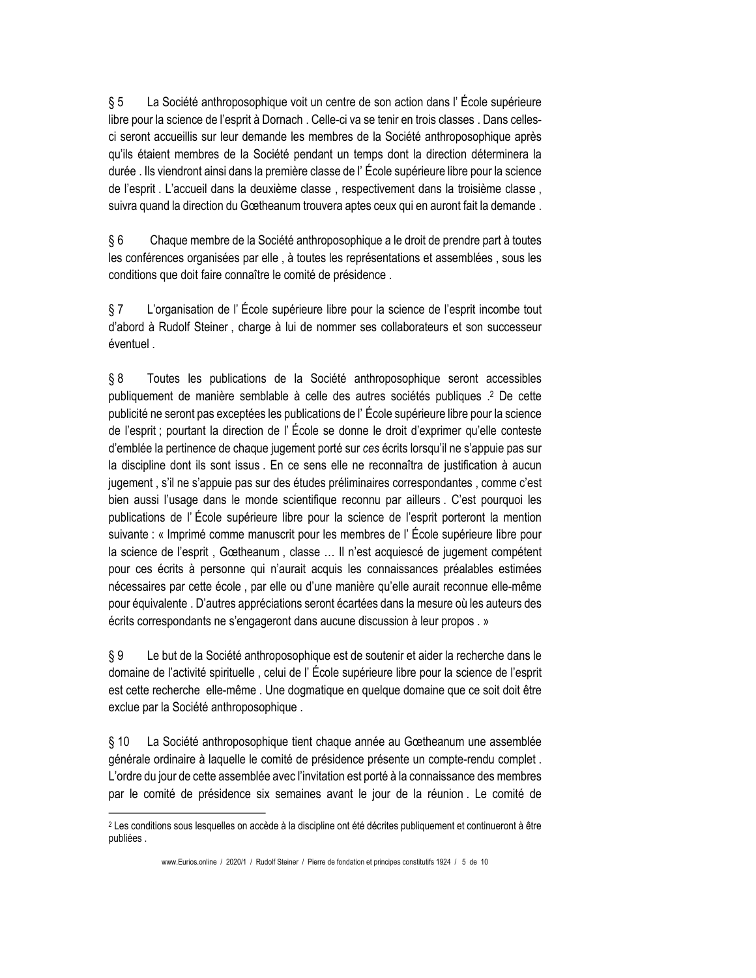$§ 5$ La Société anthroposophique voit un centre de son action dans l'École supérieure libre pour la science de l'esprit à Dornach. Celle-ci va se tenir en trois classes. Dans cellesci seront accueillis sur leur demande les membres de la Société anthroposophique après qu'ils étaient membres de la Société pendant un temps dont la direction déterminera la durée . Ils viendront ainsi dans la première classe de l'École supérieure libre pour la science de l'esprit. L'accueil dans la deuxième classe, respectivement dans la troisième classe, suivra quand la direction du Gœtheanum trouvera aptes ceux qui en auront fait la demande.

 $§6$ Chaque membre de la Société anthroposophique a le droit de prendre part à toutes les conférences organisées par elle, à toutes les représentations et assemblées, sous les conditions que doit faire connaître le comité de présidence.

 $§ 7$ L'organisation de l'École supérieure libre pour la science de l'esprit incombe tout d'abord à Rudolf Steiner, charge à lui de nommer ses collaborateurs et son successeur éventuel.

 $§ 8$ Toutes les publications de la Société anthroposophique seront accessibles publiquement de manière semblable à celle des autres sociétés publiques .<sup>2</sup> De cette publicité ne seront pas exceptées les publications de l'École supérieure libre pour la science de l'esprit ; pourtant la direction de l'École se donne le droit d'exprimer qu'elle conteste d'emblée la pertinence de chaque jugement porté sur ces écrits lorsqu'il ne s'appuie pas sur la discipline dont ils sont issus. En ce sens elle ne reconnaîtra de justification à aucun jugement, s'il ne s'appuie pas sur des études préliminaires correspondantes, comme c'est bien aussi l'usage dans le monde scientifique reconnu par ailleurs. C'est pourquoi les publications de l'École supérieure libre pour la science de l'esprit porteront la mention suivante : « Imprimé comme manuscrit pour les membres de l'École supérieure libre pour la science de l'esprit, Gœtheanum, classe ... Il n'est acquiescé de jugement compétent pour ces écrits à personne qui n'aurait acquis les connaissances préalables estimées nécessaires par cette école, par elle ou d'une manière qu'elle aurait reconnue elle-même pour équivalente. D'autres appréciations seront écartées dans la mesure où les auteurs des écrits correspondants ne s'engageront dans aucune discussion à leur propos. »

Le but de la Société anthroposophique est de soutenir et aider la recherche dans le §9 domaine de l'activité spirituelle, celui de l'École supérieure libre pour la science de l'esprit est cette recherche elle-même. Une dogmatique en quelque domaine que ce soit doit être exclue par la Société anthroposophique.

 $§ 10$ La Société anthroposophique tient chaque année au Gœtheanum une assemblée générale ordinaire à laquelle le comité de présidence présente un compte-rendu complet. L'ordre du jour de cette assemblée avec l'invitation est porté à la connaissance des membres par le comité de présidence six semaines avant le jour de la réunion. Le comité de

<sup>&</sup>lt;sup>2</sup> Les conditions sous lesquelles on accède à la discipline ont été décrites publiquement et continueront à être publiées.

www.Eurios.online / 2020/1 / Rudolf Steiner / Pierre de fondation et principes constitutifs 1924 / 5 de 10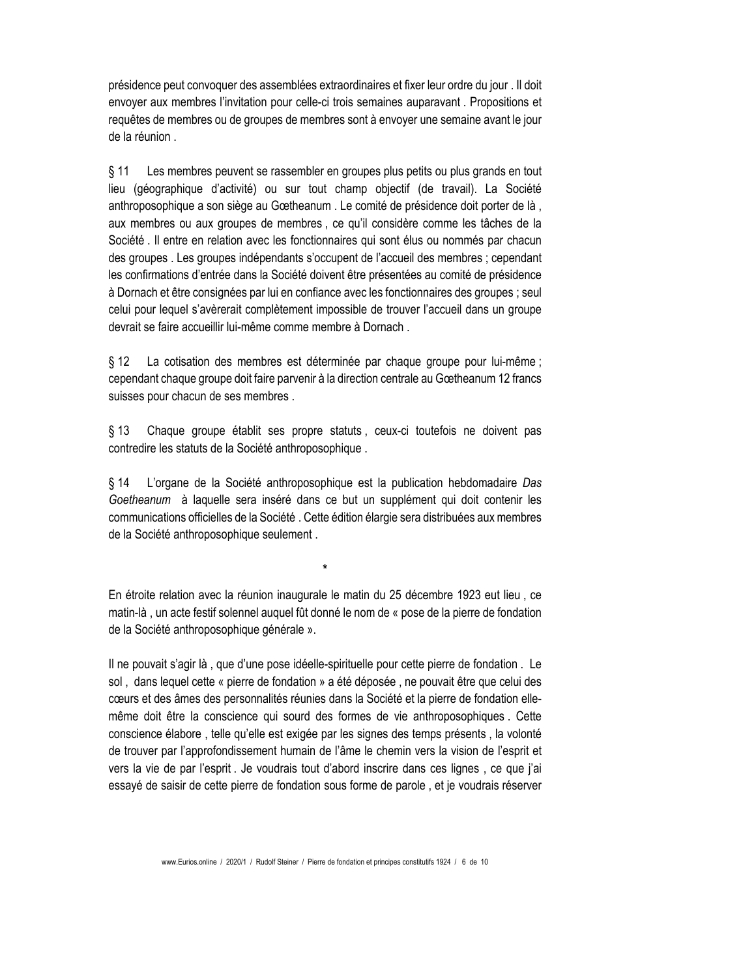présidence peut convoquer des assemblées extraordinaires et fixer leur ordre du jour. Il doit envoyer aux membres l'invitation pour celle-ci trois semaines auparavant. Propositions et requêtes de membres ou de groupes de membres sont à envoyer une semaine avant le jour de la réunion.

**S** 11 Les membres peuvent se rassembler en groupes plus petits ou plus grands en tout lieu (géographique d'activité) ou sur tout champ objectif (de travail). La Société anthroposophique a son siège au Gœtheanum. Le comité de présidence doit porter de là. aux membres ou aux groupes de membres, ce qu'il considère comme les tâches de la Société. Il entre en relation avec les fonctionnaires qui sont élus ou nommés par chacun des groupes . Les groupes indépendants s'occupent de l'accueil des membres ; cependant les confirmations d'entrée dans la Société doivent être présentées au comité de présidence à Dornach et être consignées par lui en confiance avec les fonctionnaires des groupes ; seul celui pour lequel s'avèrerait complètement impossible de trouver l'accueil dans un groupe devrait se faire accueillir lui-même comme membre à Dornach.

 $§$  12 La cotisation des membres est déterminée par chaque groupe pour lui-même ; cependant chaque groupe doit faire parvenir à la direction centrale au Gœtheanum 12 francs suisses pour chacun de ses membres.

 $§$  13 Chaque groupe établit ses propre statuts, ceux-ci toutefois ne doivent pas contredire les statuts de la Société anthroposophique.

 $§$  14 L'organe de la Société anthroposophique est la publication hebdomadaire Das Goetheanum à laquelle sera inséré dans ce but un supplément qui doit contenir les communications officielles de la Société. Cette édition élargie sera distribuées aux membres de la Société anthroposophique seulement.

En étroite relation avec la réunion inaugurale le matin du 25 décembre 1923 eut lieu, ce matin-là, un acte festif solennel auguel fût donné le nom de « pose de la pierre de fondation de la Société anthroposophique générale ».

Il ne pouvait s'agir là, que d'une pose idéelle-spirituelle pour cette pierre de fondation. Le sol, dans lequel cette « pierre de fondation » a été déposée, ne pouvait être que celui des cœurs et des âmes des personnalités réunies dans la Société et la pierre de fondation ellemême doit être la conscience qui sourd des formes de vie anthroposophiques. Cette conscience élabore, telle qu'elle est exigée par les signes des temps présents, la volonté de trouver par l'approfondissement humain de l'âme le chemin vers la vision de l'esprit et vers la vie de par l'esprit. Je voudrais tout d'abord inscrire dans ces lignes, ce que j'ai essayé de saisir de cette pierre de fondation sous forme de parole, et je voudrais réserver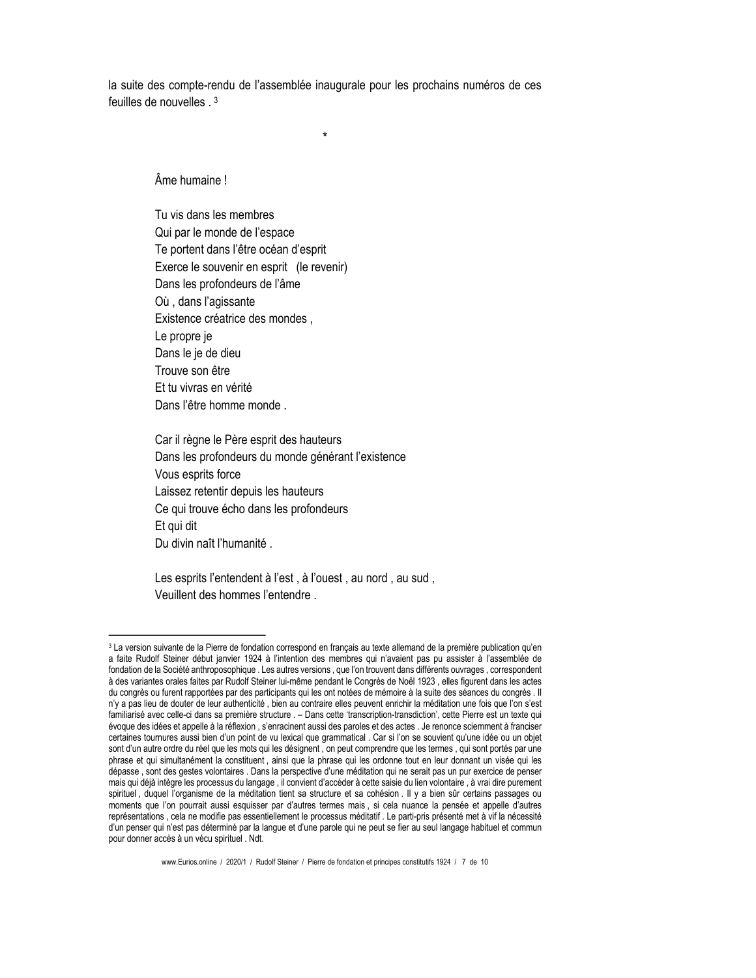la suite des compte-rendu de l'assemblée inaugurale pour les prochains numéros de ces feuilles de nouvelles  $3$ 

Âme humaine!

Tu vis dans les membres Qui par le monde de l'espace Te portent dans l'être océan d'esprit Exerce le souvenir en esprit (le revenir) Dans les profondeurs de l'âme Où, dans l'agissante Existence créatrice des mondes, Le propre je Dans le je de dieu Trouve son être Et tu vivras en vérité Dans l'être homme monde.

Car il règne le Père esprit des hauteurs Dans les profondeurs du monde générant l'existence Vous esprits force Laissez retentir depuis les hauteurs Ce qui trouve écho dans les profondeurs Et qui dit Du divin naît l'humanité.

Les esprits l'entendent à l'est, à l'ouest, au nord, au sud, Veuillent des hommes l'entendre.

<sup>3</sup> La version suivante de la Pierre de fondation correspond en français au texte allemand de la première publication qu'en a faite Rudolf Steiner début janvier 1924 à l'intention des membres qui n'avaient pas pu assister à l'assemblée de fondation de la Société anthroposophique . Les autres versions, que l'on trouvent dans différents ouvrages, correspondent à des variantes orales faites par Rudolf Steiner lui-même pendant le Congrès de Noël 1923, elles figurent dans les actes du congrès ou furent rapportées par des participants qui les ont notées de mémoire à la suite des séances du congrès . Il n'y a pas lieu de douter de leur authenticité, bien au contraire elles peuvent enrichir la méditation une fois que l'on s'est familiarisé avec celle-ci dans sa première structure . - Dans cette 'transcription-transdiction', cette Pierre est un texte qui évoque des idées et appelle à la réflexion, s'enracinent aussi des paroles et des actes. Je renonce sciemment à franciser certaines tournures aussi bien d'un point de vu lexical que grammatical. Car si l'on se souvient qu'une idée ou un objet sont d'un autre ordre du réel que les mots qui les désignent, on peut comprendre que les termes, qui sont portés par une phrase et qui simultanément la constituent, ainsi que la phrase qui les ordonne tout en leur donnant un visée qui les dépasse, sont des gestes volontaires. Dans la perspective d'une méditation qui ne serait pas un pur exercice de penser mais qui déjà intègre les processus du langage, il convient d'accéder à cette saisie du lien volontaire, à vrai dire purement spirituel, duquel l'organisme de la méditation tient sa structure et sa cohésion. Il y a bien sûr certains passages ou moments que l'on pourrait aussi esquisser par d'autres termes mais, si cela nuance la pensée et appelle d'autres représentations, cela ne modifie pas essentiellement le processus méditatif. Le parti-pris présenté met à vif la nécessité d'un penser qui n'est pas déterminé par la langue et d'une parole qui ne peut se fier au seul langage habituel et commun pour donner accès à un vécu spirituel . Ndt.

www.Eurios.online / 2020/1 / Rudolf Steiner / Pierre de fondation et principes constitutifs 1924 / 7 de 10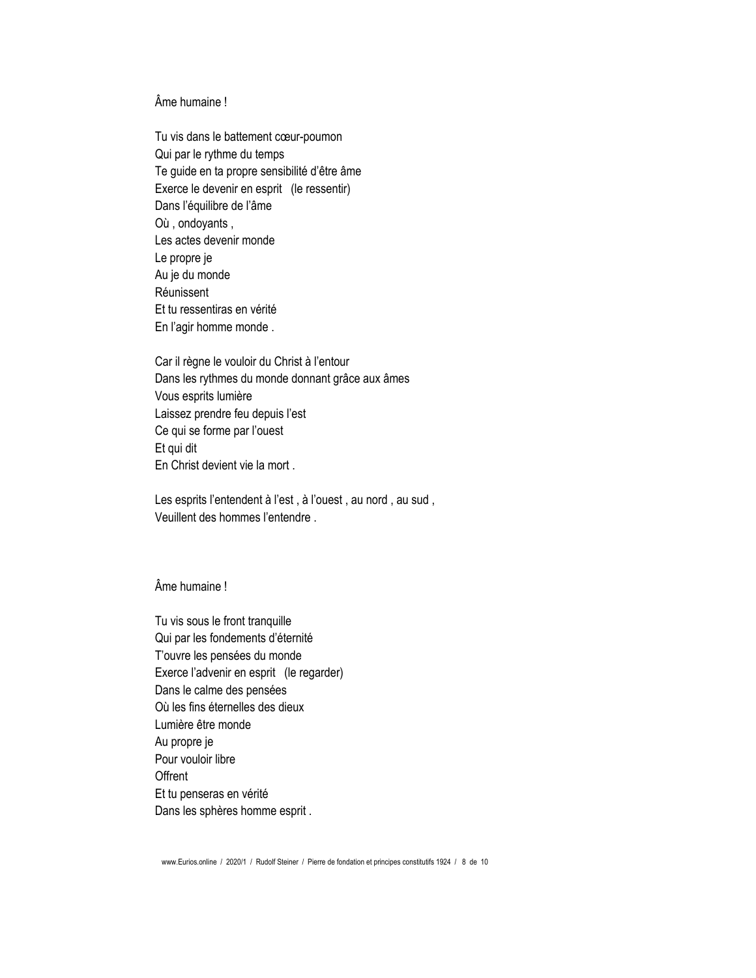## Âme humaine!

Tu vis dans le battement cœur-poumon Qui par le rythme du temps Te guide en ta propre sensibilité d'être âme Exerce le devenir en esprit (le ressentir) Dans l'équilibre de l'âme Où, ondoyants, Les actes devenir monde Le propre je Au je du monde Réunissent Et tu ressentiras en vérité En l'agir homme monde.

Car il règne le vouloir du Christ à l'entour Dans les rythmes du monde donnant grâce aux âmes Vous esprits lumière Laissez prendre feu depuis l'est Ce qui se forme par l'ouest Et qui dit En Christ devient vie la mort.

Les esprits l'entendent à l'est, à l'ouest, au nord, au sud, Veuillent des hommes l'entendre.

### Âme humaine !

Tu vis sous le front tranquille Qui par les fondements d'éternité T'ouvre les pensées du monde Exerce l'advenir en esprit (le regarder) Dans le calme des pensées Où les fins éternelles des dieux Lumière être monde Au propre je Pour vouloir libre Offrent Et tu penseras en vérité Dans les sphères homme esprit.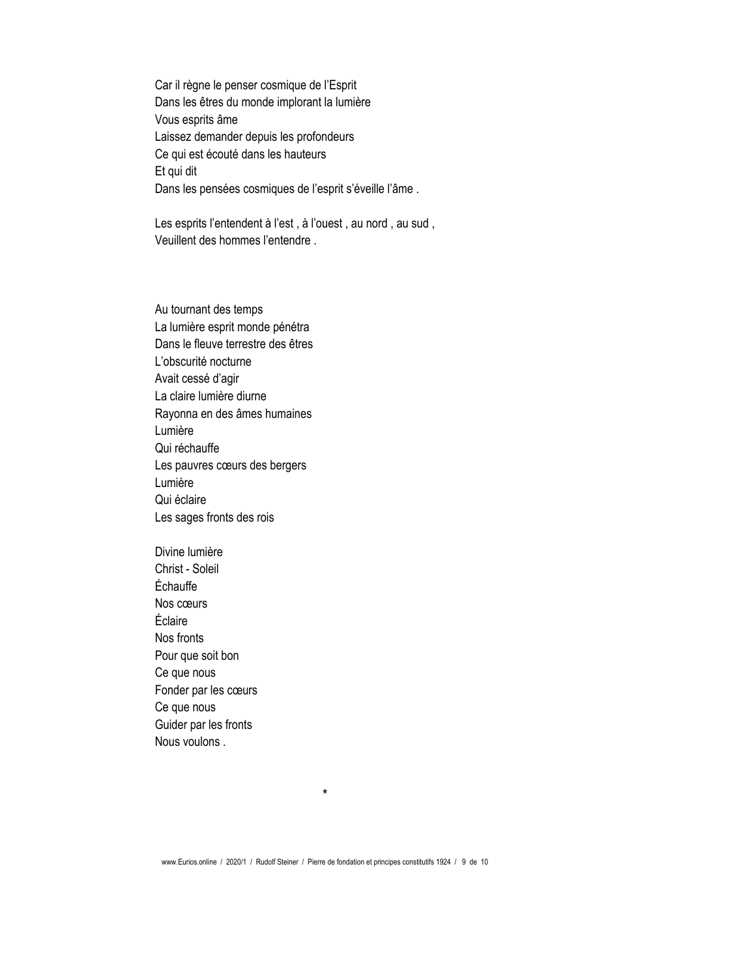Car il règne le penser cosmique de l'Esprit Dans les êtres du monde implorant la lumière Vous esprits âme Laissez demander depuis les profondeurs Ce qui est écouté dans les hauteurs Et qui dit Dans les pensées cosmiques de l'esprit s'éveille l'âme.

Les esprits l'entendent à l'est, à l'ouest, au nord, au sud, Veuillent des hommes l'entendre.

Au tournant des temps La lumière esprit monde pénétra Dans le fleuve terrestre des êtres L'obscurité nocturne Avait cessé d'agir La claire lumière diurne Rayonna en des âmes humaines Lumière Qui réchauffe Les pauvres cœurs des bergers Lumière Qui éclaire Les sages fronts des rois

Divine lumière Christ - Soleil Échauffe Nos cœurs Éclaire Nos fronts Pour que soit bon Ce que nous Fonder par les cœurs Ce que nous Guider par les fronts Nous voulons.

 $\star$